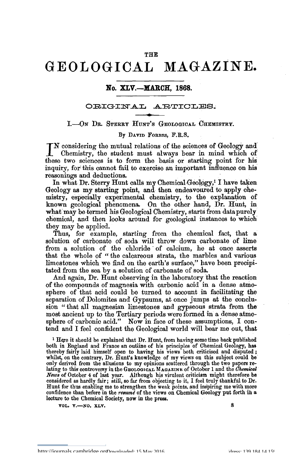# THE GEOLOGICAL MAGAZINE.

# **Wo. XIV.—MARCH, 1868.**

### ORIGINAL ARTICLES.

#### I.-ON DR. STERRY HUNT'S GEOLOGICAL CHEMISTRY.

#### By DAVID FORBES, F.E.S.

IN considering the mutual relations of the sciences of Geology and<br>Chemistry, the student must always bear in mind which of<br>these two sciences is to form the basis or starting point for his N considering the mutual relations of the sciences of Geology and Chemistry, the student must always bear in mind which of inquiry, for this cannot fail to exercise an important influence on his reasonings and deductions.

In what Dr. Sterry Hunt calls my Chemical Geology,<sup>1</sup> I have taken 1 have taken Geology as my starting point, and then endeavoured to apply che- mistry, especially experimental chemistry, to the explanation of known geological phenomena. On the other hand, Dr. Hunt, in what'may be termed his Geological Chemistry, starts from data purely chemical, and then looks around for geological instances to which they may be applied.

Thus, for example, starting from the chemical fact, that a solution of carbonate of soda will throw down carbonate of lime from a solution of the chloride' of calcium, he at once asserts that the whole of " the calcareous strata, the marbles and various limestones which we find on the earth's surface," have been precipi- tated from the sea by a solution of carbonate of soda.

And again, Dr. Hunt observing in the laboratory that the reaction of the compounds of magnesia with carbonic acid in a dense atmosphere of that acid could be turned to account in facilitating the separation of Dolomites and Gypsums, at once jumps at the conclu- sion " that all magnesian limestones and gypseous strata from the most ancient up to the Tertiary periods were formed in a dense atmo- sphere of carbonic acid." Now in face of these assumptions, I con- tend and I feel confident the Geological world will bear me out, that

<sup>1</sup> Here it should be explained that Dr. Hunt, from having some time back published both in England and France an outline of his principles of Chemical Geology, has thereby fairly laid himself open to having his views both criticised and disputed; whilst, on the contrary, Dr. Hunt's knowledge of my views on this subject could be only derived from the allusions to my opinions scattered through the two papers relating to this controversy in the GEOLOGORLAL MAGAZINE of Hunt for thus enabling me to strengthen the weak points, and inspiring me with more confidence than before in the *resume* of the views on Chemical Geology put forth in a lecture to the Chemical Society, now in the press.

VOL. v.—NO. XLV. 8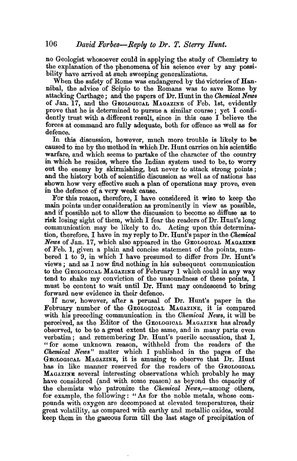no Geologist whosoever could in applying the study of Chemistry to the explanation of the phenomena of his science ever by any possibility have arrived at such sweeping generalizations.<br>When the safety of Rome was endangered by the victories of Hannibal, the advice of Scipio to the Romans

attacking Carthage; and the papers of Dr. Hunt in the *Chemical News* of Jan. 17, and the GEOLOGICAL MAGAZINE of Feb. 1st, evidently prove that he is determined to pursue a similar course ; yet I confi- dently trust with a different result, since in this case I believe the forces at command are fully adequate, both for offence as well as for defence.

In this discussion, however, much more trouble is likely to be caused to me by the method in which Dr. Hunt carries on his scientific warfare, and which seems to partake of the character of the country in which he resides, where the Indian system used to be, to worry out the enemy by skirmishing, but never to attack strong points; and the history both of scientific discussion as well as of nations has shown how very effective such a plan of operations may prove, even in the defence of a very weak cause.

For this reason, therefore, I have considered it wise to keep the main points under consideration as prominently in view as possible, and if possible not to allow the discussion to become so diffuse as to risk losing sight of them, which I fear the readers of Dr. Hunt's long communication may be likely to do. Acting upon this determina- tion, therefore, I have in my reply to Dr. Hunt's paper in the *Chemical News* of Jan. 17, which also appeared in the GEOLOGICAL MAGAZINE of Feb. 1, given a plain and concise statement of the points, num- bered 1 to 9, in which I have presumed to differ from Dr. Hunt's views ; and as I now find nothing in his subsequent communication to the GEOLOGICAL MAGAZINE of February 1 which could in any way tend to shake my conviction of the unsoundness of these points, I must be content to wait until Dr. Hunt may condescend to bring forward new evidence in their defence.

If now, however, after a perusal of Dr. Hunt's paper in the February number of the GEOLOGICAL MAGAZINE, it is compared with his preceding communication in the *Chemical News,* it will be perceived, as the Editor of the GEOLOGICAL MAGAZINE has already observed, to be to a great extent the same, and in many parts even verbatim; and remembering Dr. Hunt's puerile accusation, that I, "for some unknown reason, withheld from the readers of the *Chemical Neios"* matter which I published in the pages of the GEOLOGICAL MAGAZINE, it is amusing to observe that Dr. Hunt has in like manner reserved for the readers of the GEOLOGICAL MAGAZINE several interesting observations which probably he may have considered (and with some reason) as beyond the capacity of the chemists who patronize the *Chemical News*,—among others, for example, the following: " As for the noble metals, whose com-<br>pounds with oxygen are decomposed at elevated temperatures, their great volatility, as compared with earthy and metallic oxides, would keep them in the gaseous form till the last stage of precipitation of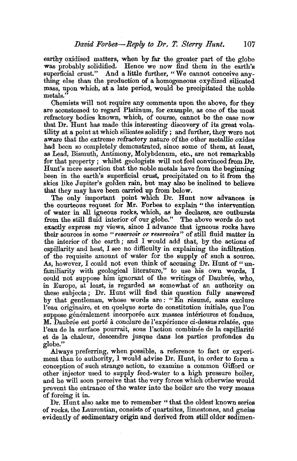earthy oxidised matters, when by fax the greater part of the globe was probably solidified. Hence we now find them in the earth's superficial crust." And a little further, "We cannot conceive any-<br>thing else than the production of a homogeneous oxydized silicated mass, upon which, at a late period, would be precipitated the noble metals.

Chemists will not require any comments upon the above, for they are accustomed to regard Platinum, for example, as one of the most refractory bodies known, which, of course, cannot be the case now that Dr. Hunt has made this interesting discovery of its great volatility at a point at which silicates solidify ; and further, they were not aware that the extreme refractory nature of the other metallic oxides had been so completely demonstrated, since some of them, at least, as Lead, Bismuth, Antimony, Molybdenum, etc., are not remarkable for that property ; whilst geologists will not feel convinced from Dr. Hunt's mere assertion that the noble metals have from the beginning been in the earth's superficial crust, precipitated on to it from the skies like Jupiter's golden rain, but may also be inclined to believe that they may have been carried up from below.

The only important point which Dr. Hunt now advances is the courteous request for Mr. Forbes to explain "the intervention of water in all igneous rocks, which, as he declares, are outbursts from the still fluid interior of our globe." The above words do not exactly express my views, since I advance that igneous rocks have their sources in some *"reservoir or reservoirs"* of still fluid matter in the interior of the earth; and I would add that, by the actions of capillarity and heat, I see no difficulty in explaining the infiltration. of the requisite amount of water for the supply of such a source.<br>As, however, I could not even think of accusing Dr. Hunt of "un-<br>familiarity with geological literature," to use his own words, I<br>could not suppose him igno in Europe, at least, is regarded as somewhat of an authority on these subjects; Dr. Hunt will find this question fully answered by that gentleman, whose words are: "En résumé, sans exclure l'eau originaire, et en quelque sorte de constitution initiale, que l'on suppose généralement incorporée aux masses intérieures et fondues, M. Daubrée est porté à conclure de l'expérience ci-dessus relatée, que l'eau de la surface pourrait, sous l'action combinée de la capillarité et de la chaleur, descendre jusque dans les parties profondes du globe."

Always preferring, when possible, a reference to fact or experi- ment than to authority, 1 would advise Dr. Hunt, in order to form a conception of such strange action, to examine a common Gifford or other injector used to supply feed-water to a high pressure boiler, and he will soon perceive that the very forces which otherwise would prevent the entrance of the water into the boiler are the very means of forcing it in.

Dr. Hunt also asks me to remember " that the oldest known series of rocks, the Laurentian, consists of quartzites, limestones, and gneiss evidently of sedimentary origin and derived from still older sedimen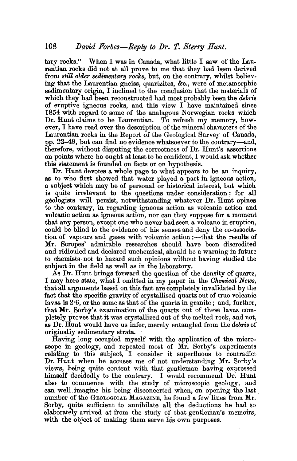tary rocks." When I was in Canada, what little I saw of the Lau-<br>rentian rocks did not at all prove to me that they had been derived<br>from *still older sedimentary rocks*, but, on the contrary, whilst believing that the Laurentian gneiss, quartzites, &c., were of metamorphic sedimentary origin, I inclined to the conclusion that the materials of which they had been reconstructed had most probably been the *debris* of eruptive igneous rocks, and this view I have maintained since 1854 with regard to some of the analagous Norwegian rocks which Dr. Hunt claims to be Laurentian. To refresh my memory, how-<br>ever, I have read over the description of the mineral characters of the<br>Laurentian rocks in the Report of the Geological Survey of Canada. pp. 22–49, but can find no evidence whatsoever to the contrary—and, therefore, without disputing the correctness of Dr. Hunt's assertions on points where he ought at least to be confident, I would ask whether

this statement is founded on facts or on hypothesis.<br>Dr. Hunt devotes a whole page to what appears to be an inquiry, as to who first showed that water played a part in igneous action, a subject which may be of personal or historical interest, but which is quite irrelevant to the questions under consideration; for all geologists will persist, notwithstanding whatever Dr. Hunt opines to the contrary, in regarding igneous action as volcanic action and volcanic action as igneous action, nor can they suppose for a moment that any person, except one who never had seen a volcano in eruption, could be blind to the evidence of his senses and deny the co-associar tion of vapours and gases with volcanic action;—that the results of Mr. Scropes' admirable researches should have been discredited and ridiculed and declared unchemical, should be a warning in future to chemists not to hazard such opinions without having studied the subject in the field as well as in the laboratory.

As Dr. Hunt brings forward the question of the density of quartz, I may here state, what I omitted in my paper in the *Chemical News,* that all arguments based on this fact are completely invalidated by the fact that the specific gravity of crystallised quartz out of true volcanic lavas is 2.6, or the same as that of the quartz in granite; and, further, that Mr. Sorby's examination of the quartz out of these lavas completely proves that it was crystallized out of the melted rock, and not, as Dr. Hun originally sedimentary strata.

Having long occupied myself with the application of the micro- scope in geology, and repeated most of Mr. Sorby's experiments relating to this subject, I consider it superfluous to contradict Dr. Hunt when he accuses me of not understanding Mr. Sorby's views, being quite content with that gentleman having expressed himself decidedly to the contrary. I would recommend Dr. Hunt also to commence with the study of microscopic geology, and can well, imagine his being disconcerted when, on opening the last number of the GEOLOGICAL MAGAZINE, he found a few lines from Mr.<br>Sorby, quite sufficient to annihilate all the deductions he had so elaborately arrived at from the study of that gentleman's memoirs, with the object of making them serve his own purposes.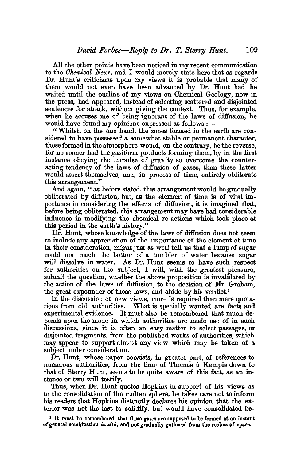All the other points have been noticed in my recent communication to the *Chemical News,* and I would merely state here that as regards Dr. Hunt's criticisms upon my views it is probable that many of them would not even have been advanced by Dr. Hunt had he waited until the outline of my views on Chemical Geology, now in the press, had appeared, instead of selecting scattered and disjointed sentences for attack, without giving the context. Thus, for example, when he accuses me of being ignorant of the laws of diffusion, he would have found my opinions expressed as follows :—

"Whilst, on the one hand, the zones formed in the earth are considered to have possessed a somewhat stable or permanent character, those formed in the atmosphere would, on the contrary, be the reverse, for no sooner had th acting tendency of the laws of diffusion of gases, than these latter would assert themselves, and, in process of time, entirely obliterate this arrangement." And again, " as before stated, this arrangement would be gradually

obliterated by diffusion, but, as the element of time is of vital im- portance in considering the effects of diffusion, it is imagined that, before being obliterated, this arrangement may have had considerable influence in modifying the chemical re-actions which took place at this period in the earth's history."

Dr. Hunt, whose knowledge of the laws of diffusion does not seem to include any appreciation of the importance of the element of time in their consideration, might just as well tell us that a lump of sugar could not reach the bottom of a tumbler of water because sugar will dissolve in water. As Dr. Hunt seems to have such respect for authorities on the subject, I will, with the greatest pleasure, submit the question, whether the above proposition is invalidated by the action of the laws of diffusion, to the decision of Mr. Graham, the great expounder of these laws, and abide by his verdict.<sup>1</sup>

In the discussion of new views, more is required than mere quota-<br>tions from old authorities. What is specially wanted are facts and experimental evidence. It must also be remembered that much depends upon the mode in which authorities are made use of in such discussions, since it is often an easy matter to select passages, or disjointed fragments, from the published works of authorities, which may appear to support almost any view which may be taken of a subject under consideration.

Dr. Hunt, whose paper consists, in greater part, of references to numerous authorities, from the time of Thomas a Kempis down to that of Sterry Hunt, seems to be quite aware of this fact, as an in- stance or two will testify. Thus, when Dr. Hunt quotes Hopkins in support of his views as

to the consolidation of the molten sphere, he takes care not to inform his readers that Hopkins distinctly declares his opinion that the exterior was not the last to solidify, but would have consolidated be-

<sup>1</sup> It must be remembered that these gases are supposed to be formed at an instant of general combination *in tit&,* and not gradually gathered from the realms of space.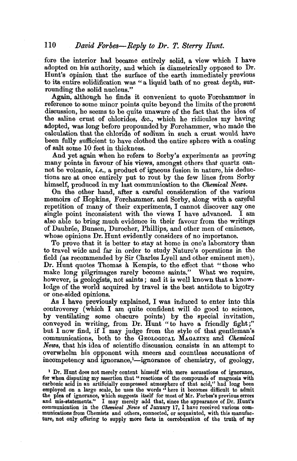fore the interior had became entirely solid, a view which I have adopted on his authority, and which is diametrically opposed to Dr.<br>Hunt's opinion that the surface of the earth immediately previous<br>to its entire solidification was "a liquid bath of no great depth, sur-

rounding the solid nucleus." " Again, although he finds it convenient to quote Forchammer in reference to some minor points quite beyond the limits of the present discussion, he seems to be quite unaware of the fact that the idea of the saline crust of chlorides, &c, which he ridicules my having adopted, was long before propounded by Forchammer, who made the calculation that the chloride of sodium in such a crust would have been fully sufficient to have clothed the entire sphere with a coating of salt some 10 feet in thickness.

And yet again when he refers to Sorby's experiments as proving many points in favour of his views, amongst others that quartz cannot be volcanic, *i.e.*, a product of igneous fusion in nature, his deductions are at once entirely put to rout by the few lines from Sorby himself, produced in my last communication to the *Chemical News.*

On the other hand, after a careful consideration of the various memoirs of Hopkins, Forchammer, and Sorby, along with a careful repetition of many of their experiments, I cannot discover any one single point inconsistent with the views I have advanced. I am also able to bring much evidence in their favour from the writings of Daubree, Bunsen, Durocher, Phillips, and other men of eminence, whose opinions Dr. Hunt evidently considers of no importance.

To prove that it is better to stay at home in one's laboratory than to travel wide and far in order to study Nature's operations in the field (as recommended by Sir Charles Lyell and other eminent men), Dr. Hunt quotes Thomas à Kempis, to the effect that " those who make long pilgrimages rarely become saints." What we require, however, is geologists, not saints; and it is well known that a know-<br>ledge of the world acquired by travel is the best antidote to bigotry or one-sided opinions.

As I have previously explained, I was induced to enter into this controversy (which I am quite confident will do good to science, by ventilating some obscure points) by the special invitation, conveyed in writing, from Dr. Hunt "to have a friendly fight;" but I now find, if I may judge from the style of that gentleman's communications, both to the GEOLOGICAL MAGAZINE and *Chemical News,* that his idea of scientific discussion consists in an attempt to overwhelm his opponent with sneers and countless accusations of incompetency and ignorance,1 —ignorance of chemistry, of geology,

1 Dr. Hunt does not merely content himself with mere accusations of ignorance, for when disputing my assertion that " reactions of the compounds of magnesia with carbonic acid in an artificially compressed atmosphere of that acid," had long been employed on a large scale, he uses the words " here it becomes difficult to admit the plea of ignorance, which suggests itself for most of Mr. Forbes's previous errors and mis-statements." I may merely add that, since the appearance of Dr. Hunt's communication in the Chemical News of January 17, I have